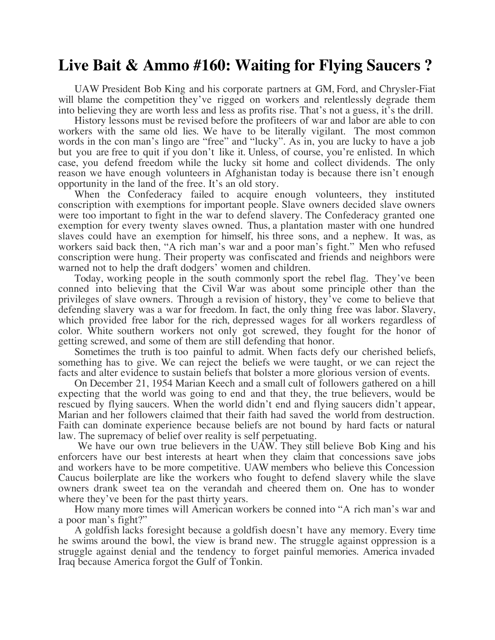## **Live Bait & Ammo #160: Waiting for Flying Saucers ?**

UAW President Bob King and his corporate partners at GM, Ford, and Chrysler-Fiat will blame the competition they've rigged on workers and relentlessly degrade them into believing they are worth less and less as profits rise. That's not a guess, it's the drill.

History lessons must be revised before the profiteers of war and labor are able to con workers with the same old lies. We have to be literally vigilant. The most common words in the con man's lingo are "free" and "lucky". As in, you are lucky to have a job but you are free to quit if you don't like it. Unless, of course, you're enlisted. In which case, you defend freedom while the lucky sit home and collect dividends. The only reason we have enough volunteers in Afghanistan today is because there isn't enough opportunity in the land of the free. It's an old story.

When the Confederacy failed to acquire enough volunteers, they instituted conscription with exemptions for important people. Slave owners decided slave owners were too important to fight in the war to defend slavery. The Confederacy granted one exemption for every twenty slaves owned. Thus, a plantation master with one hundred slaves could have an exemption for himself, his three sons, and a nephew. It was, as workers said back then, "A rich man's war and a poor man's fight." Men who refused conscription were hung. Their property was confiscated and friends and neighbors were warned not to help the draft dodgers' women and children.

Today, working people in the south commonly sport the rebel flag. They've been conned into believing that the Civil War was about some principle other than the privileges of slave owners. Through a revision of history, they've come to believe that defending slavery was a war for freedom. In fact, the only thing free was labor. Slavery, which provided free labor for the rich, depressed wages for all workers regardless of color. White southern workers not only got screwed, they fought for the honor of getting screwed, and some of them are still defending that honor.

Sometimes the truth is too painful to admit. When facts defy our cherished beliefs, something has to give. We can reject the beliefs we were taught, or we can reject the facts and alter evidence to sustain beliefs that bolster a more glorious version of events.

On December 21, 1954 Marian Keech and a small cult of followers gathered on a hill expecting that the world was going to end and that they, the true believers, would be rescued by flying saucers. When the world didn't end and flying saucers didn't appear, Marian and her followers claimed that their faith had saved the world from destruction. Faith can dominate experience because beliefs are not bound by hard facts or natural law. The supremacy of belief over reality is self perpetuating.

We have our own true believers in the UAW. They still believe Bob King and his enforcers have our best interests at heart when they claim that concessions save jobs and workers have to be more competitive. UAW members who believe this Concession Caucus boilerplate are like the workers who fought to defend slavery while the slave owners drank sweet tea on the verandah and cheered them on. One has to wonder where they've been for the past thirty years.

How many more times will American workers be conned into "A rich man's war and a poor man's fight?"

A goldfish lacks foresight because a goldfish doesn't have any memory. Every time he swims around the bowl, the view is brand new. The struggle against oppression is a struggle against denial and the tendency to forget painful memories. America invaded Iraq because America forgot the Gulf of Tonkin.